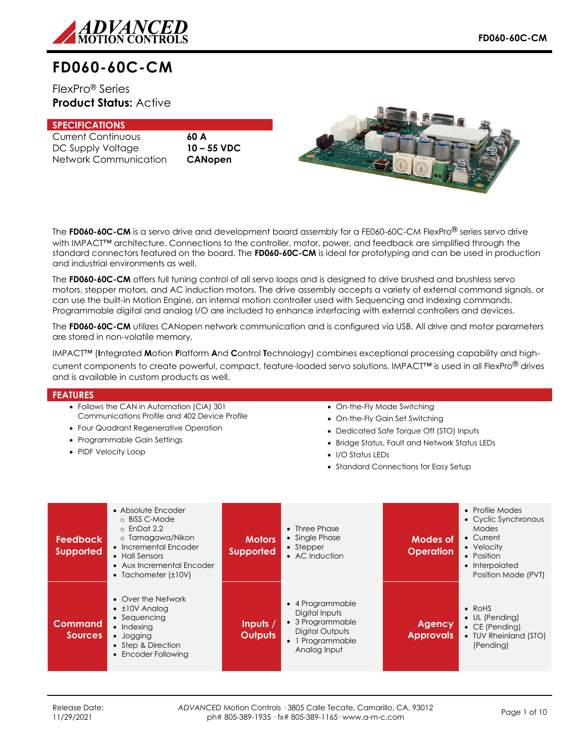

# **FD060-60C-CM**

FlexPro® Series **Product Status:** Active

## **SPECIFICATIONS**

Current Continuous **60 A** DC Supply Voltage **10 – 55 VDC** Network Communication **CANopen**



The **FD060-60C-CM** is a servo drive and development board assembly for a FE060-60C-CM FlexPro® series servo drive with IMPACT<sup>™</sup> architecture. Connections to the controller, motor, power, and feedback are simplified through the standard connectors featured on the board. The **FD060-60C-CM** is ideal for prototyping and can be used in production and industrial environments as well.

The **FD060-60C-CM** offers full tuning control of all servo loops and is designed to drive brushed and brushless servo motors, stepper motors, and AC induction motors. The drive assembly accepts a variety of external command signals, or can use the built-in Motion Engine, an internal motion controller used with Sequencing and Indexing commands. Programmable digital and analog I/O are included to enhance interfacing with external controllers and devices.

The **FD060-60C-CM** utilizes CANopen network communication and is configured via USB. All drive and motor parameters are stored in non-volatile memory.

IMPACT™ (**I**ntegrated **M**otion **P**latform **A**nd **C**ontrol **T**echnology) combines exceptional processing capability and highcurrent components to create powerful, compact, feature-loaded servo solutions. IMPACT™ is used in all FlexPro® drives and is available in custom products as well.

### **FEATURES**

- Follows the CAN in Automation (CiA) 301 Communications Profile and 402 Device Profile
- Four Quadrant Regenerative Operation
- Programmable Gain Settings
- PIDF Velocity Loop
- On-the-Fly Mode Switching
- On-the-Fly Gain Set Switching
- Dedicated Safe Torque Off (STO) Inputs
- Bridge Status, Fault and Network Status LEDs
- I/O Status LEDs
- Standard Connections for Easy Setup

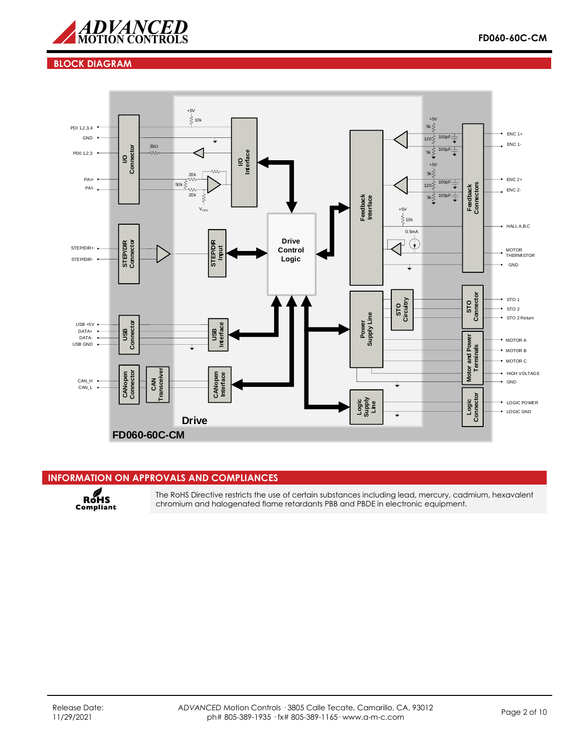

## **BLOCK DIAGRAM**



## **INFORMATION ON APPROVALS AND COMPLIANCES**

RoHS<br>Compliant

The RoHS Directive restricts the use of certain substances including lead, mercury, cadmium, hexavalent chromium and halogenated flame retardants PBB and PBDE in electronic equipment.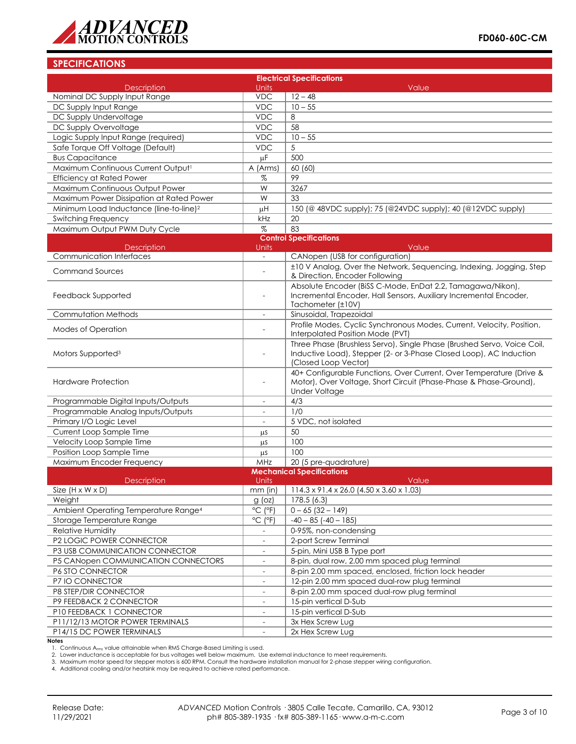

## **SPECIFICATIONS**

|                                                       |                                        | <b>Electrical Specifications</b>                                                                                                                                      |
|-------------------------------------------------------|----------------------------------------|-----------------------------------------------------------------------------------------------------------------------------------------------------------------------|
| <b>Description</b>                                    | <b>Units</b>                           | Value                                                                                                                                                                 |
| Nominal DC Supply Input Range                         | <b>VDC</b>                             | $12 - 48$                                                                                                                                                             |
| DC Supply Input Range                                 | <b>VDC</b>                             | $10 - 55$                                                                                                                                                             |
| DC Supply Undervoltage                                | <b>VDC</b>                             | 8                                                                                                                                                                     |
| DC Supply Overvoltage                                 | <b>VDC</b>                             | 58                                                                                                                                                                    |
| Logic Supply Input Range (required)                   | <b>VDC</b>                             | $10 - 55$                                                                                                                                                             |
| Safe Torque Off Voltage (Default)                     | <b>VDC</b>                             | 5                                                                                                                                                                     |
| <b>Bus Capacitance</b>                                | μF                                     | 500                                                                                                                                                                   |
| Maximum Continuous Current Output1                    | A (Arms)                               | 60 (60)                                                                                                                                                               |
| <b>Efficiency at Rated Power</b>                      | %                                      | 99                                                                                                                                                                    |
| Maximum Continuous Output Power                       | W                                      | 3267                                                                                                                                                                  |
| Maximum Power Dissipation at Rated Power              | W                                      | 33                                                                                                                                                                    |
| Minimum Load Inductance (line-to-line) <sup>2</sup>   | μH                                     | 150 (@ 48VDC supply); 75 (@24VDC supply); 40 (@12VDC supply)                                                                                                          |
| <b>Switching Frequency</b>                            | kHz                                    | 20                                                                                                                                                                    |
| Maximum Output PWM Duty Cycle                         | $\%$                                   | 83                                                                                                                                                                    |
|                                                       |                                        | <b>Control Specifications</b>                                                                                                                                         |
| <b>Description</b><br><b>Communication Interfaces</b> | Units<br>$\overline{\phantom{a}}$      | Value<br>CANopen (USB for configuration)                                                                                                                              |
|                                                       |                                        |                                                                                                                                                                       |
| <b>Command Sources</b>                                |                                        | ±10 V Analog, Over the Network, Sequencing, Indexing, Jogging, Step<br>& Direction, Encoder Following                                                                 |
| Feedback Supported                                    |                                        | Absolute Encoder (BiSS C-Mode, EnDat 2.2, Tamagawa/Nikon),<br>Incremental Encoder, Hall Sensors, Auxiliary Incremental Encoder,                                       |
|                                                       |                                        | Tachometer (±10V)                                                                                                                                                     |
| Commutation Methods                                   | $\overline{\phantom{a}}$               | Sinusoidal, Trapezoidal                                                                                                                                               |
| <b>Modes of Operation</b>                             |                                        | Profile Modes, Cyclic Synchronous Modes, Current, Velocity, Position,<br>Interpolated Position Mode (PVT)                                                             |
| Motors Supported <sup>3</sup>                         |                                        | Three Phase (Brushless Servo), Single Phase (Brushed Servo, Voice Coil,<br>Inductive Load), Stepper (2- or 3-Phase Closed Loop), AC Induction<br>(Closed Loop Vector) |
| <b>Hardware Protection</b>                            | $\overline{a}$                         | 40+ Configurable Functions, Over Current, Over Temperature (Drive &<br>Motor), Over Voltage, Short Circuit (Phase-Phase & Phase-Ground),<br><b>Under Voltage</b>      |
| Programmable Digital Inputs/Outputs                   |                                        | 4/3                                                                                                                                                                   |
| Programmable Analog Inputs/Outputs                    |                                        | 1/0                                                                                                                                                                   |
| Primary I/O Logic Level                               | $\overline{\phantom{a}}$               | 5 VDC, not isolated                                                                                                                                                   |
| Current Loop Sample Time                              | μS                                     | 50                                                                                                                                                                    |
| Velocity Loop Sample Time                             | μS                                     | 100                                                                                                                                                                   |
| Position Loop Sample Time                             | μS                                     | 100                                                                                                                                                                   |
| Maximum Encoder Frequency                             | MHz                                    | $\overline{20}$ (5 pre-quadrature)                                                                                                                                    |
|                                                       |                                        | <b>Mechanical Specifications</b>                                                                                                                                      |
| <b>Description</b>                                    | <b>Units</b>                           | Value                                                                                                                                                                 |
| Size $(H \times W \times D)$                          |                                        | mm (in)   114.3 x 91.4 x 26.0 $(4.50 \times 3.60 \times 1.03)$                                                                                                        |
| Weight                                                | $g$ (oz)                               | 178.5 (6.3)                                                                                                                                                           |
| Ambient Operating Temperature Range <sup>4</sup>      | °C (°F)                                | $0 - 65$ (32 - 149)                                                                                                                                                   |
| Storage Temperature Range                             | $\overline{^{\circ}C}$ ( $^{\circ}F$ ) | $-40 - 85$ ( $-40 - 185$ )                                                                                                                                            |
| Relative Humidity                                     |                                        | 0-95%, non-condensing                                                                                                                                                 |
| P2 LOGIC POWER CONNECTOR                              | $\overline{\phantom{a}}$               | 2-port Screw Terminal                                                                                                                                                 |
| P3 USB COMMUNICATION CONNECTOR                        | $\overline{\phantom{a}}$               | 5-pin, Mini USB B Type port                                                                                                                                           |
| P5 CANopen COMMUNICATION CONNECTORS                   | $\qquad \qquad \blacksquare$           | 8-pin, dual row, 2.00 mm spaced plug terminal                                                                                                                         |
| P6 STO CONNECTOR                                      | $\overline{\phantom{a}}$               | 8-pin 2.00 mm spaced, enclosed, friction lock header                                                                                                                  |
| P7 IO CONNECTOR                                       |                                        | 12-pin 2.00 mm spaced dual-row plug terminal                                                                                                                          |
| P8 STEP/DIR CONNECTOR                                 |                                        | 8-pin 2.00 mm spaced dual-row plug terminal                                                                                                                           |
| P9 FEEDBACK 2 CONNECTOR                               | $\blacksquare$                         | 15-pin vertical D-Sub                                                                                                                                                 |
| P10 FEEDBACK 1 CONNECTOR                              | $\overline{\phantom{a}}$               | 15-pin vertical D-Sub                                                                                                                                                 |
| P11/12/13 MOTOR POWER TERMINALS                       |                                        | 3x Hex Screw Lug                                                                                                                                                      |
| P14/15 DC POWER TERMINALS                             |                                        | 2x Hex Screw Lug                                                                                                                                                      |

**Notes**

1. Continuous A<sub>rms</sub> value attainable when RMS Charge-Based Limiting is used.<br>2. Lower inductance is acceptable for bus voltages well below maximum. Use external inductance to meet requirements.

3. Maximum motor speed for stepper motors is 600 RPM. Consult the hardware installation manual for 2-phase stepper wiring configuration.

4. Additional cooling and/or heatsink may be required to achieve rated performance.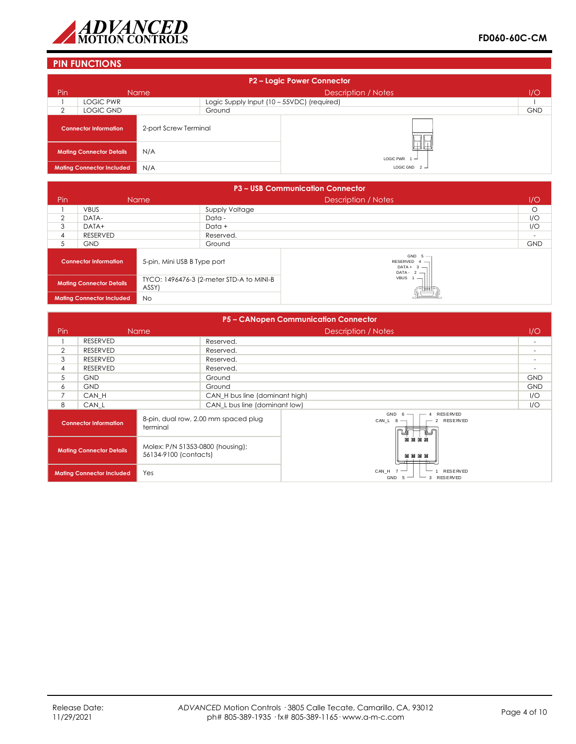

## **PIN FUNCTIONS**

| P2 - Logic Power Connector |                                        |                       |                                            |                            |            |
|----------------------------|----------------------------------------|-----------------------|--------------------------------------------|----------------------------|------------|
| Pin                        | <b>Name</b>                            |                       |                                            | <b>Description / Notes</b> | 1/O        |
|                            | <b>LOGIC PWR</b>                       |                       | Logic Supply Input (10 - 55VDC) (required) |                            |            |
| ⌒                          | LOGIC GND                              |                       | Ground                                     |                            | <b>GND</b> |
|                            | <b>Connector Information</b>           | 2-port Screw Terminal |                                            |                            |            |
|                            | N/A<br><b>Mating Connector Details</b> |                       |                                            | LOGIC PWR $1 -$            |            |
|                            | <b>Mating Connector Included</b>       | N/A                   |                                            | LOGIC GND $2 -$            |            |

|                                                             | <b>P3 - USB Communication Connector</b> |                                                   |                                                             |                   |            |  |
|-------------------------------------------------------------|-----------------------------------------|---------------------------------------------------|-------------------------------------------------------------|-------------------|------------|--|
| Pin                                                         |                                         | Name                                              | <b>Description / Notes</b>                                  |                   | 1/O        |  |
|                                                             | <b>VBUS</b>                             |                                                   | Supply Voltage                                              |                   | $\circ$    |  |
| $\overline{2}$                                              | DATA-                                   |                                                   | Data -                                                      |                   | I/O        |  |
| 3                                                           | DATA+                                   | Data +                                            |                                                             |                   | I/O        |  |
| 4                                                           | RESERVED                                | Reserved.                                         |                                                             |                   | $\sim$     |  |
| 5                                                           | <b>GND</b>                              |                                                   | Ground                                                      |                   | <b>GND</b> |  |
| 5-pin, Mini USB B Type port<br><b>Connector Information</b> |                                         |                                                   | GND $5 -$<br>RESERVED $4 -$<br>$DATA + 3 -$<br>$DATA - 2 -$ |                   |            |  |
| <b>Mating Connector Details</b>                             |                                         | TYCO: 1496476-3 (2-meter STD-A to MINI-B<br>ASSY) |                                                             | VBUS <sub>1</sub> |            |  |
| <b>No</b><br><b>Mating Connector Included</b>               |                                         |                                                   |                                                             |                   |            |  |

|                                                                                              | P5 - CANopen Communication Connector |                                      |                                                            |                                                       |            |
|----------------------------------------------------------------------------------------------|--------------------------------------|--------------------------------------|------------------------------------------------------------|-------------------------------------------------------|------------|
| <b>Pin</b>                                                                                   |                                      | <b>Name</b>                          |                                                            | Description / Notes                                   | 1/O        |
|                                                                                              | <b>RESERVED</b>                      |                                      | Reserved.                                                  |                                                       |            |
| $\overline{2}$                                                                               | <b>RESERVED</b>                      |                                      | Reserved.                                                  |                                                       |            |
| 3                                                                                            | <b>RESERVED</b>                      |                                      | Reserved.                                                  |                                                       |            |
| 4                                                                                            | <b>RESERVED</b>                      |                                      | Reserved.                                                  |                                                       |            |
| 5                                                                                            | <b>GND</b>                           |                                      | Ground                                                     |                                                       | <b>GND</b> |
| 6                                                                                            | <b>GND</b>                           |                                      | Ground                                                     |                                                       | <b>GND</b> |
| $\overline{7}$                                                                               | CAN H                                |                                      | CAN_H bus line (dominant high)                             |                                                       | 1/O        |
| 8                                                                                            | CAN_L                                |                                      | CAN L bus line (dominant low)                              |                                                       | 1/O        |
| <b>Connector Information</b><br>terminal                                                     |                                      | 8-pin, dual row, 2.00 mm spaced plug | GND<br><b>RESERVED</b><br>- 6<br>CAN_L $8$ -<br>2 RESERVED |                                                       |            |
| Molex: P/N 51353-0800 (housing);<br><b>Mating Connector Details</b><br>56134-9100 (contacts) |                                      |                                      | 网间区网<br>同同同同<br>———                                        |                                                       |            |
|                                                                                              | <b>Mating Connector Included</b>     | Yes                                  |                                                            | CAN_H 7<br><b>RESERVED</b><br>3 RESERVED<br>GND<br>-5 |            |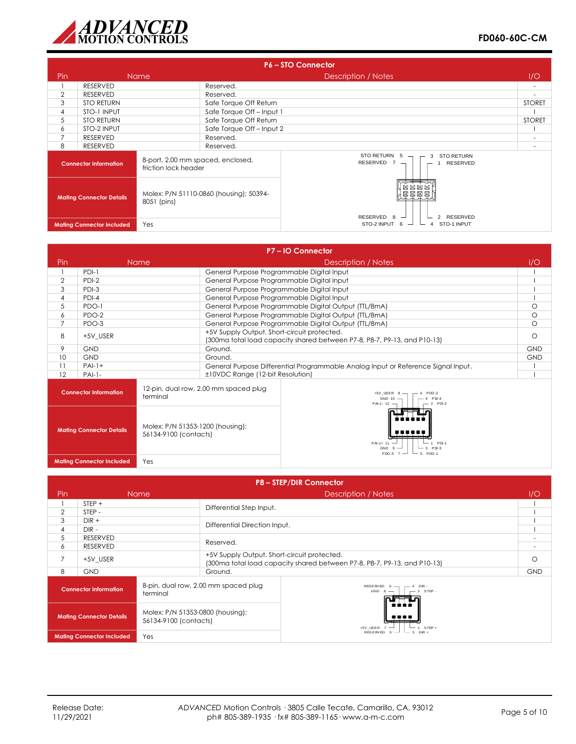

|                                                                                           | <b>P6-STO Connector</b>          |                                                           |                                              |                                                                      |                          |
|-------------------------------------------------------------------------------------------|----------------------------------|-----------------------------------------------------------|----------------------------------------------|----------------------------------------------------------------------|--------------------------|
| Pin                                                                                       |                                  | <b>Name</b>                                               |                                              | Description / Notes                                                  | 1/O                      |
|                                                                                           | RESERVED                         |                                                           | Reserved.                                    |                                                                      | $\overline{\phantom{a}}$ |
| $\overline{2}$                                                                            | RESERVED                         |                                                           | Reserved.                                    |                                                                      |                          |
| 3                                                                                         | <b>STO RETURN</b>                |                                                           | Safe Torque Off Return                       |                                                                      | <b>STORET</b>            |
| 4                                                                                         | STO-1 INPUT                      |                                                           | Safe Torque Off-Input 1                      |                                                                      |                          |
| 5                                                                                         | <b>STO RETURN</b>                |                                                           | Safe Torque Off Return                       |                                                                      | <b>STORET</b>            |
| 6                                                                                         | STO-2 INPUT                      |                                                           | Safe Torque Off-Input 2                      |                                                                      |                          |
| $\overline{7}$                                                                            | Reserved.<br>RESERVED            |                                                           |                                              |                                                                      |                          |
| 8                                                                                         | <b>RESERVED</b>                  |                                                           | Reserved.                                    |                                                                      | $\overline{\phantom{a}}$ |
|                                                                                           | <b>Connector Information</b>     | 8-port, 2.00 mm spaced, enclosed,<br>friction lock header |                                              | STO RETURN 5<br><b>STO RETURN</b><br>3<br>RESERVED $7 -$<br>RESERVED |                          |
| Molex: P/N 51110-0860 (housing); 50394-<br><b>Mating Connector Details</b><br>8051 (pins) |                                  |                                                           | 因因<br>因因<br>因因因因<br>RESERVED 8<br>2 RESERVED |                                                                      |                          |
|                                                                                           | <b>Mating Connector Included</b> | Yes                                                       |                                              | STO-2 INPUT 6<br>STO-1 INPUT                                         |                          |

|                                                                                              |                                         |                                                                           |                                                                                                                         | P7-IO Connector                                                                   |            |
|----------------------------------------------------------------------------------------------|-----------------------------------------|---------------------------------------------------------------------------|-------------------------------------------------------------------------------------------------------------------------|-----------------------------------------------------------------------------------|------------|
| Pin                                                                                          |                                         | <b>Name</b>                                                               | Description / Notes                                                                                                     |                                                                                   | 1/O        |
|                                                                                              | $PDI-1$                                 |                                                                           | General Purpose Programmable Digital Input                                                                              |                                                                                   |            |
| $\overline{2}$                                                                               | $PDI-2$                                 |                                                                           | General Purpose Programmable Digital Input                                                                              |                                                                                   |            |
| 3                                                                                            | $PDI-3$                                 |                                                                           | General Purpose Programmable Digital Input                                                                              |                                                                                   |            |
| 4                                                                                            | PDI-4                                   |                                                                           | General Purpose Programmable Digital Input                                                                              |                                                                                   |            |
| 5                                                                                            | PDO-1                                   |                                                                           |                                                                                                                         | General Purpose Programmable Digital Output (TTL/8mA)                             | $\circ$    |
| 6                                                                                            | PDO-2                                   |                                                                           |                                                                                                                         | General Purpose Programmable Digital Output (TTL/8mA)                             | $\circ$    |
| $\overline{7}$                                                                               | PDO-3                                   |                                                                           |                                                                                                                         | General Purpose Programmable Digital Output (TTL/8mA)                             | $\circ$    |
| 8                                                                                            | +5V USER                                |                                                                           | +5V Supply Output. Short-circuit protected.<br>(300ma total load capacity shared between P7-8, P8-7, P9-13, and P10-13) |                                                                                   | $\circ$    |
| 9                                                                                            | GND                                     |                                                                           | Ground.                                                                                                                 |                                                                                   | <b>GND</b> |
| 10                                                                                           | <b>GND</b>                              |                                                                           | Ground.                                                                                                                 |                                                                                   | <b>GND</b> |
| 11                                                                                           | $PAI-1+$                                |                                                                           | General Purpose Differential Programmable Analog Input or Reference Signal Input.                                       |                                                                                   |            |
| 12                                                                                           | $PAI-I-$                                |                                                                           | ±10VDC Range (12-bit Resolution)                                                                                        |                                                                                   |            |
|                                                                                              | <b>Connector Information</b>            | terminal                                                                  | 12-pin, dual row, 2.00 mm spaced plug                                                                                   | $+5V$ _USER $8$ -<br>$PDO-2$<br>GND 10 -<br>$PDI-4$<br>$-2$ PDI-2<br>$PAI - 12$ – |            |
| Molex: P/N 51353-1200 (housing);<br><b>Mating Connector Details</b><br>56134-9100 (contacts) |                                         | 1 PDI-1<br>PAI-1+ 11<br>3 PDI-3<br>GND <sub>9</sub><br>PDQ-3 7<br>$PCD-1$ |                                                                                                                         |                                                                                   |            |
|                                                                                              | <b>Mating Connector Included</b><br>Yes |                                                                           |                                                                                                                         |                                                                                   |            |

|                                                                                              | <b>P8-STEP/DIR Connector</b>            |                                                  |                                                                                                                         |                                                     |            |
|----------------------------------------------------------------------------------------------|-----------------------------------------|--------------------------------------------------|-------------------------------------------------------------------------------------------------------------------------|-----------------------------------------------------|------------|
| Pin                                                                                          |                                         | <b>Name</b>                                      |                                                                                                                         | Description / Notes                                 | 1/O        |
|                                                                                              | $STEP +$                                |                                                  | Differential Step Input.                                                                                                |                                                     |            |
| $\overline{2}$                                                                               | STEP-                                   |                                                  |                                                                                                                         |                                                     |            |
| 3                                                                                            | $DIR +$                                 |                                                  | Differential Direction Input.                                                                                           |                                                     |            |
| 4                                                                                            | $DIR -$                                 |                                                  |                                                                                                                         |                                                     |            |
| 5                                                                                            | <b>RESERVED</b>                         |                                                  | Reserved.                                                                                                               |                                                     | $\sim$     |
| 6                                                                                            | <b>RESERVED</b>                         |                                                  |                                                                                                                         |                                                     | $\sim$     |
| 7                                                                                            | +5V USER                                |                                                  | +5V Supply Output. Short-circuit protected.<br>(300ma total load capacity shared between P7-8, P8-7, P9-13, and P10-13) |                                                     | $\circ$    |
| 8                                                                                            | <b>GND</b>                              |                                                  | Ground.                                                                                                                 |                                                     | <b>GND</b> |
|                                                                                              | <b>Connector Information</b>            | 8-pin, dual row, 2.00 mm spaced plug<br>terminal |                                                                                                                         | RESERVED 6<br>4 DIR -<br>$-2$ STEP -<br>$GND 8$ $-$ |            |
| Molex: P/N 51353-0800 (housing);<br><b>Mating Connector Details</b><br>56134-9100 (contacts) |                                         | +5V_USER<br>$STEP +$                             |                                                                                                                         |                                                     |            |
|                                                                                              | Yes<br><b>Mating Connector Included</b> |                                                  |                                                                                                                         | <b>RESERVED</b><br>$3$ DIR +                        |            |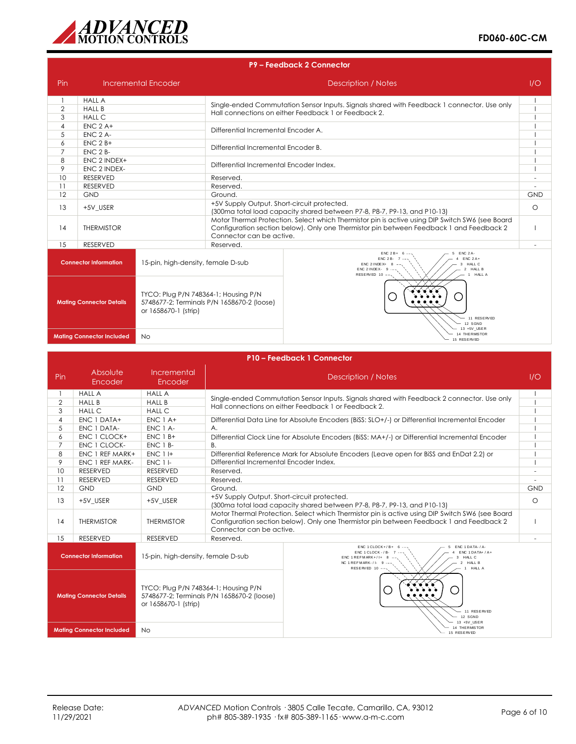

|                                                                                                 | P9 - Feedback 2 Connector                     |                                            |                                                                                                                                                                                                                        |                                                                                            |     |
|-------------------------------------------------------------------------------------------------|-----------------------------------------------|--------------------------------------------|------------------------------------------------------------------------------------------------------------------------------------------------------------------------------------------------------------------------|--------------------------------------------------------------------------------------------|-----|
| Pin                                                                                             |                                               | Incremental Encoder                        | Description / Notes                                                                                                                                                                                                    |                                                                                            | 1/O |
|                                                                                                 | <b>HALL A</b>                                 |                                            |                                                                                                                                                                                                                        | Single-ended Commutation Sensor Inputs. Signals shared with Feedback 1 connector. Use only |     |
| $\overline{2}$                                                                                  | <b>HALL B</b>                                 |                                            | Hall connections on either Feedback 1 or Feedback 2.                                                                                                                                                                   |                                                                                            |     |
| 3                                                                                               | <b>HALL C</b>                                 |                                            |                                                                                                                                                                                                                        |                                                                                            |     |
| $\overline{4}$                                                                                  | $ENC$ 2 A+                                    |                                            | Differential Incremental Encoder A.                                                                                                                                                                                    |                                                                                            |     |
| 5                                                                                               | $ENC 2 A-$                                    |                                            |                                                                                                                                                                                                                        |                                                                                            |     |
| 6                                                                                               | $ENC$ 2 $B+$                                  |                                            | Differential Incremental Encoder B.                                                                                                                                                                                    |                                                                                            |     |
| $\overline{7}$<br>8                                                                             | <b>ENC 2 B-</b><br>ENC 2 INDEX+               |                                            |                                                                                                                                                                                                                        |                                                                                            |     |
| 9                                                                                               | ENC 2 INDEX-                                  |                                            | Differential Incremental Encoder Index.                                                                                                                                                                                |                                                                                            |     |
| 10                                                                                              | <b>RESERVED</b>                               |                                            | Reserved.                                                                                                                                                                                                              |                                                                                            |     |
| 11                                                                                              | <b>RESERVED</b>                               |                                            | Reserved.                                                                                                                                                                                                              |                                                                                            |     |
| 12                                                                                              | GND                                           |                                            | Ground.                                                                                                                                                                                                                |                                                                                            | GND |
| 13                                                                                              | +5V USER                                      |                                            | +5V Supply Output. Short-circuit protected.<br>(300ma total load capacity shared between P7-8, P8-7, P9-13, and P10-13)                                                                                                |                                                                                            | O   |
| 14                                                                                              | <b>THERMISTOR</b>                             |                                            | Motor Thermal Protection. Select which Thermistor pin is active using DIP Switch SW6 (see Board<br>Configuration section below). Only one Thermistor pin between Feedback 1 and Feedback 2<br>Connector can be active. |                                                                                            |     |
| 15                                                                                              | <b>RESERVED</b>                               |                                            | Reserved.                                                                                                                                                                                                              |                                                                                            |     |
| <b>Connector Information</b><br>15-pin, high-density, female D-sub                              |                                               |                                            | $ENC 2A -$<br>$ENC 2B + 6$<br>$ENC 2A+$<br><b>ENC 2B-</b><br>HALL C<br>ENC 2 INDEX+<br>ENC 21NDEX- $9$ --<br>2 HALL B<br>RESERVED 10 ---<br>HALL A                                                                     |                                                                                            |     |
| TYCO: Plug P/N 748364-1; Housing P/N<br><b>Mating Connector Details</b><br>or 1658670-1 (strip) |                                               | 5748677-2; Terminals P/N 1658670-2 (loose) | 11 RESERVED<br>12 SGND<br>13 +5V USER                                                                                                                                                                                  |                                                                                            |     |
|                                                                                                 | <b>Mating Connector Included</b><br><b>No</b> |                                            |                                                                                                                                                                                                                        | 14 THERMISTOR<br>15 RESERVED                                                               |     |

|                                                                | P10 - Feedback 1 Connector                                                                                                                          |                                                                                                                                            |                                                                                                                                                                                                                                                                                                                                                                                                                                                                                                                                |         |  |
|----------------------------------------------------------------|-----------------------------------------------------------------------------------------------------------------------------------------------------|--------------------------------------------------------------------------------------------------------------------------------------------|--------------------------------------------------------------------------------------------------------------------------------------------------------------------------------------------------------------------------------------------------------------------------------------------------------------------------------------------------------------------------------------------------------------------------------------------------------------------------------------------------------------------------------|---------|--|
| Pin                                                            | Absolute<br>Encoder                                                                                                                                 | Incremental<br>Encoder                                                                                                                     | Description / Notes                                                                                                                                                                                                                                                                                                                                                                                                                                                                                                            | 1/O     |  |
| $\overline{2}$<br>3<br>$\overline{4}$<br>5<br>6<br>7<br>8<br>9 | <b>HALL A</b><br><b>HALL B</b><br><b>HALL C</b><br>ENC 1 DATA+<br>ENC 1 DATA-<br>ENC 1 CLOCK+<br>ENC 1 CLOCK-<br>ENC 1 REF MARK+<br>ENC 1 REF MARK- | <b>HALL A</b><br><b>HALL B</b><br><b>HALL C</b><br>$ENC 1A+$<br>ENC 1 A-<br>$ENC$ 1 $B+$<br>ENC 1 B-<br><b>ENC 1 I+</b><br><b>ENC 1 I-</b> | Single-ended Commutation Sensor Inputs. Signals shared with Feedback 2 connector. Use only<br>Hall connections on either Feedback 1 or Feedback 2.<br>Differential Data Line for Absolute Encoders (BiSS: SLO+/-) or Differential Incremental Encoder<br>A <sub>1</sub><br>Differential Clock Line for Absolute Encoders (BiSS: MA+/-) or Differential Incremental Encoder<br><b>B.</b><br>Differential Reference Mark for Absolute Encoders (Leave open for BiSS and EnDat 2.2) or<br>Differential Incremental Encoder Index. |         |  |
| 10<br>11<br>12<br>13                                           | <b>RESERVED</b><br><b>RESERVED</b><br><b>GND</b><br>+5V USER                                                                                        | <b>RESERVED</b><br><b>RESERVED</b><br><b>GND</b><br>+5V USER                                                                               | Reserved.<br>Reserved.<br>Ground.<br>+5V Supply Output. Short-circuit protected.                                                                                                                                                                                                                                                                                                                                                                                                                                               |         |  |
| 14                                                             | <b>THERMISTOR</b>                                                                                                                                   | <b>THERMISTOR</b>                                                                                                                          | (300ma total load capacity shared between P7-8, P8-7, P9-13, and P10-13)<br>Motor Thermal Protection. Select which Thermistor pin is active using DIP Switch SW6 (see Board<br>Configuration section below). Only one Thermistor pin between Feedback 1 and Feedback 2<br>Connector can be active.                                                                                                                                                                                                                             | $\circ$ |  |
| 15                                                             | <b>RESERVED</b>                                                                                                                                     | <b>RESERVED</b>                                                                                                                            | Reserved.                                                                                                                                                                                                                                                                                                                                                                                                                                                                                                                      |         |  |
|                                                                | <b>Connector Information</b>                                                                                                                        | 15-pin, high-density, female D-sub                                                                                                         | ENC 1DATA-/A-<br>ENC 1 CLOCK+/B+<br>$ENC$ 1 $DATA+ / A+$<br>ENC 1 CLOCK - / B- 7<br>HALL C<br>ENC 1 REFMARK+/I+ 8<br>2 HALL B<br>NC 1 REFMARK-/I- $9$ $-$<br>RESERVED 10 --<br><b>HALL A</b><br>$\sim$                                                                                                                                                                                                                                                                                                                         |         |  |
| <b>Mating Connector Details</b><br>or 1658670-1 (strip)        |                                                                                                                                                     | TYCO: Plug P/N 748364-1; Housing P/N                                                                                                       | $\mathbb{R}^n$<br>5748677-2; Terminals P/N 1658670-2 (loose)<br>11 RESERVED<br>12 SGND<br>13 +5V USER                                                                                                                                                                                                                                                                                                                                                                                                                          |         |  |
|                                                                | <b>Mating Connector Included</b>                                                                                                                    | <b>No</b>                                                                                                                                  | 14 THE RMISTOR<br>15 RESERVED                                                                                                                                                                                                                                                                                                                                                                                                                                                                                                  |         |  |
|                                                                |                                                                                                                                                     |                                                                                                                                            |                                                                                                                                                                                                                                                                                                                                                                                                                                                                                                                                |         |  |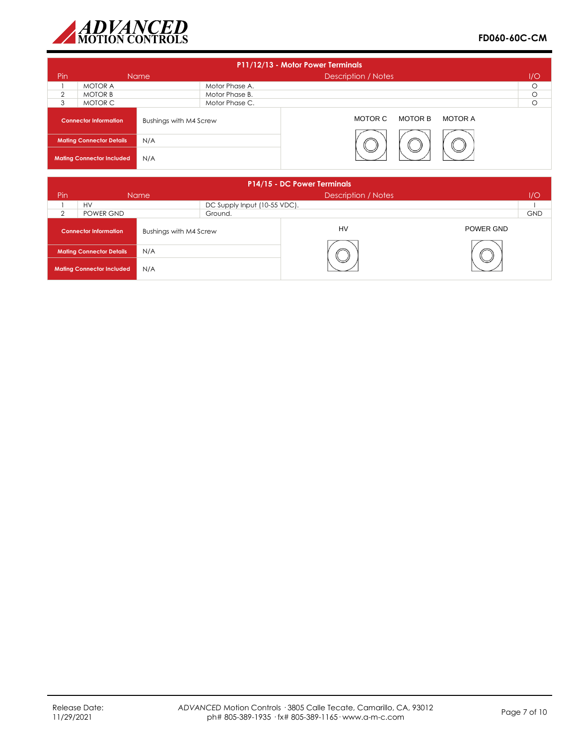

| P11/12/13 - Motor Power Terminals |                                  |                        |                |                               |         |
|-----------------------------------|----------------------------------|------------------------|----------------|-------------------------------|---------|
| Pin                               |                                  | Name                   |                | <b>Description / Notes</b>    | 1/O     |
|                                   | <b>MOTOR A</b>                   |                        | Motor Phase A. |                               | $\circ$ |
| 2                                 | <b>MOTOR B</b>                   |                        | Motor Phase B. |                               | $\circ$ |
| 3                                 | MOTOR C                          | Motor Phase C.         |                |                               | O       |
|                                   | <b>Connector Information</b>     | Bushings with M4 Screw |                | MOTOR C<br>MOTOR B<br>MOTOR A |         |
|                                   | <b>Mating Connector Details</b>  | N/A                    |                |                               |         |
|                                   | <b>Mating Connector Included</b> | N/A                    |                |                               |         |

|                | P14/15 - DC Power Terminals      |                        |                              |                            |           |            |
|----------------|----------------------------------|------------------------|------------------------------|----------------------------|-----------|------------|
| Pin            |                                  | <b>Name</b>            |                              | <b>Description / Notes</b> |           | 1/O        |
|                | <b>HV</b>                        |                        | DC Supply Input (10-55 VDC). |                            |           |            |
| $\mathfrak{D}$ | POWER GND                        |                        | Ground.                      |                            |           | <b>GND</b> |
|                | <b>Connector Information</b>     | Bushings with M4 Screw |                              | HV                         | POWER GND |            |
|                | <b>Mating Connector Details</b>  | N/A                    |                              |                            |           |            |
|                | <b>Mating Connector Included</b> | N/A                    |                              |                            |           |            |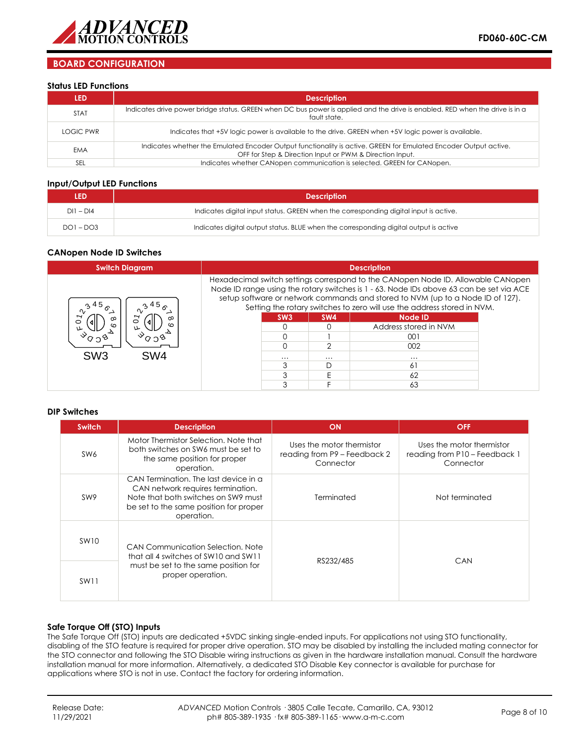

## **BOARD CONFIGURATION**

#### **Status LED Functions**

| LED         | <b>Description</b>                                                                                                                                                           |
|-------------|------------------------------------------------------------------------------------------------------------------------------------------------------------------------------|
| <b>STAT</b> | Indicates drive power bridge status. GREEN when DC bus power is applied and the drive is enabled. RED when the drive is in a<br>fault state.                                 |
| LOGIC PWR   | Indicates that +5V logic power is available to the drive. GREEN when +5V logic power is available.                                                                           |
| <b>EMA</b>  | Indicates whether the Emulated Encoder Output functionality is active. GREEN for Emulated Encoder Output active.<br>OFF for Step & Direction Input or PWM & Direction Input. |
| SEL         | Indicates whether CANopen communication is selected. GREEN for CANopen.                                                                                                      |

#### **Input/Output LED Functions**

| LED         | <b>Description</b>                                                                    |  |  |
|-------------|---------------------------------------------------------------------------------------|--|--|
| $DI1 - DI4$ | Indicates digital input status. GREEN when the corresponding digital input is active. |  |  |
| $DO1 - DO3$ | Indicates digital output status. BLUE when the corresponding digital output is active |  |  |

#### **CANopen Node ID Switches**

| <b>Switch Diagram</b>              | <b>Description</b>                                                                                                                                                                                                                                                                                                                       |                 |                 |                       |  |
|------------------------------------|------------------------------------------------------------------------------------------------------------------------------------------------------------------------------------------------------------------------------------------------------------------------------------------------------------------------------------------|-----------------|-----------------|-----------------------|--|
| 45 <sub>o</sub>                    | Hexadecimal switch settings correspond to the CANopen Node ID. Allowable CANopen<br>Node ID range using the rotary switches is 1 - 63. Node IDs above 63 can be set via ACE<br>setup software or network commands and stored to NVM (up to a Node ID of 127).<br>Setting the rotary switches to zero will use the address stored in NVM. |                 |                 |                       |  |
| ∞<br>∞<br>⌒<br>$\circ$             |                                                                                                                                                                                                                                                                                                                                          | SW <sub>3</sub> | SW <sub>4</sub> | <b>Node ID</b>        |  |
| ທ<br>ىلا                           |                                                                                                                                                                                                                                                                                                                                          |                 |                 | Address stored in NVM |  |
|                                    |                                                                                                                                                                                                                                                                                                                                          |                 |                 | 001                   |  |
|                                    |                                                                                                                                                                                                                                                                                                                                          |                 |                 | 002                   |  |
| SW <sub>3</sub><br>SW <sub>4</sub> |                                                                                                                                                                                                                                                                                                                                          | .               |                 | $\cdots$              |  |
|                                    |                                                                                                                                                                                                                                                                                                                                          |                 |                 | 61                    |  |
|                                    |                                                                                                                                                                                                                                                                                                                                          |                 |                 | 62                    |  |
|                                    |                                                                                                                                                                                                                                                                                                                                          |                 |                 | 63                    |  |

#### **DIP Switches**

| <b>Switch</b>   | <b>Description</b>                                                                                                                                                        | ON                                                                     | <b>OFF</b>                                                              |
|-----------------|---------------------------------------------------------------------------------------------------------------------------------------------------------------------------|------------------------------------------------------------------------|-------------------------------------------------------------------------|
| SW6             | Motor Thermistor Selection. Note that<br>both switches on SW6 must be set to<br>the same position for proper<br>operation.                                                | Uses the motor thermistor<br>reading from P9 - Feedback 2<br>Connector | Uses the motor thermistor<br>reading from P10 - Feedback 1<br>Connector |
| SW <sub>9</sub> | CAN Termination. The last device in a<br>CAN network requires termination.<br>Note that both switches on SW9 must<br>be set to the same position for proper<br>operation. | Terminated                                                             | Not terminated                                                          |
| <b>SW10</b>     | CAN Communication Selection, Note<br>that all 4 switches of SW10 and SW11                                                                                                 | RS232/485                                                              | CAN                                                                     |
| <b>SW11</b>     | must be set to the same position for<br>proper operation.                                                                                                                 |                                                                        |                                                                         |

### **Safe Torque Off (STO) Inputs**

The Safe Torque Off (STO) inputs are dedicated +5VDC sinking single-ended inputs. For applications not using STO functionality, disabling of the STO feature is required for proper drive operation. STO may be disabled by installing the included mating connector for the STO connector and following the STO Disable wiring instructions as given in the hardware installation manual. Consult the hardware installation manual for more information. Alternatively, a dedicated STO Disable Key connector is available for purchase for applications where STO is not in use. Contact the factory for ordering information.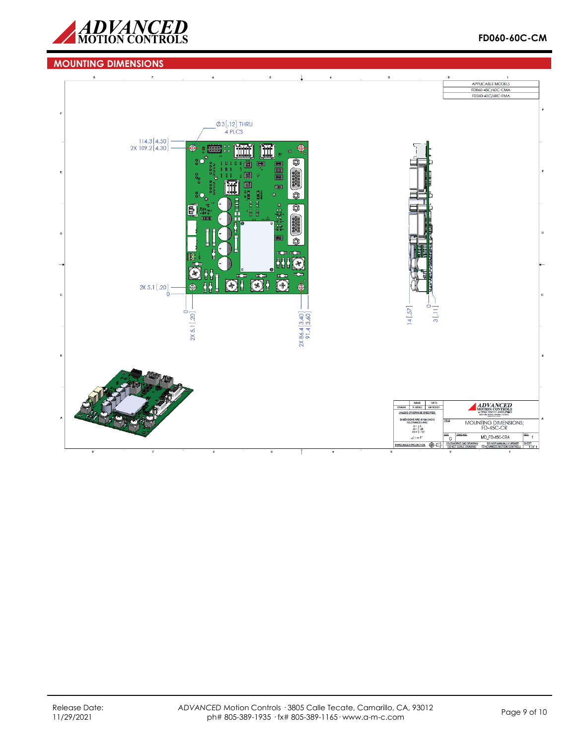



## **MOUNTING DIMENSIONS**